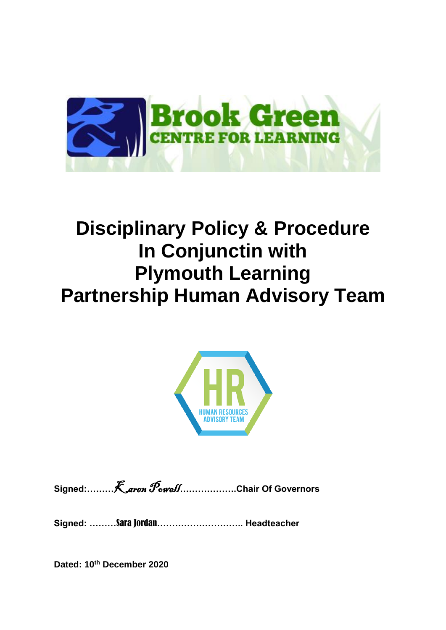

# **Disciplinary Policy & Procedure In Conjunctin with Plymouth Learning Partnership Human Advisory Team**



**Signed:………**Karen Powell**……………….Chair Of Governors**

**Signed: ………**Sara Jordan**……………………….. Headteacher**

**Dated: 10th December 2020**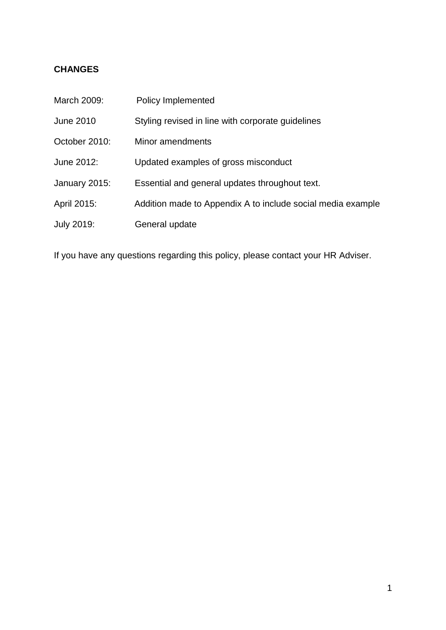# **CHANGES**

| March 2009:      | Policy Implemented                                          |
|------------------|-------------------------------------------------------------|
| <b>June 2010</b> | Styling revised in line with corporate guidelines           |
| October 2010:    | Minor amendments                                            |
| June 2012:       | Updated examples of gross misconduct                        |
| January 2015:    | Essential and general updates throughout text.              |
| April 2015:      | Addition made to Appendix A to include social media example |
| July 2019:       | General update                                              |

If you have any questions regarding this policy, please contact your HR Adviser.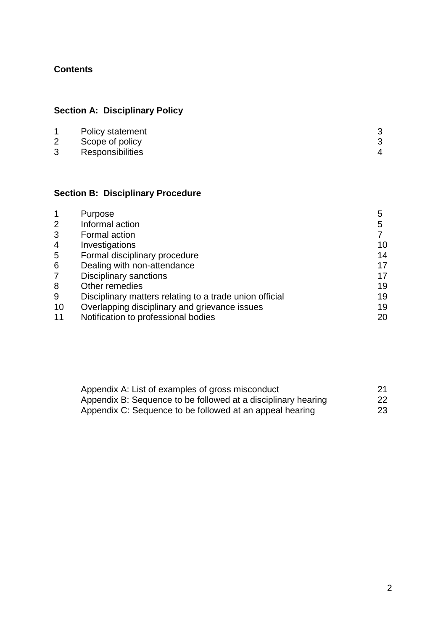# **Contents**

# **Section A: Disciplinary Policy**

|   | Policy statement |  |
|---|------------------|--|
|   | Scope of policy  |  |
| 3 | Responsibilities |  |

# **Section B: Disciplinary Procedure**

|                | Purpose                                                 | 5  |
|----------------|---------------------------------------------------------|----|
| 2              | Informal action                                         | 5  |
| 3              | Formal action                                           |    |
| $\overline{4}$ | Investigations                                          | 10 |
| 5              | Formal disciplinary procedure                           | 14 |
| 6              | Dealing with non-attendance                             | 17 |
| $\overline{7}$ | <b>Disciplinary sanctions</b>                           | 17 |
| 8              | Other remedies                                          | 19 |
| 9              | Disciplinary matters relating to a trade union official | 19 |
| 10             | Overlapping disciplinary and grievance issues           | 19 |
| 11             | Notification to professional bodies                     | 20 |

| Appendix A: List of examples of gross misconduct              |    |
|---------------------------------------------------------------|----|
| Appendix B: Sequence to be followed at a disciplinary hearing | 22 |
| Appendix C: Sequence to be followed at an appeal hearing      | 23 |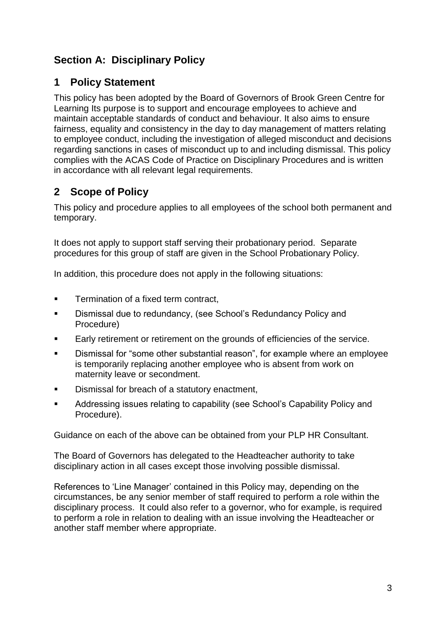# **Section A: Disciplinary Policy**

# **1 Policy Statement**

This policy has been adopted by the Board of Governors of Brook Green Centre for Learning Its purpose is to support and encourage employees to achieve and maintain acceptable standards of conduct and behaviour. It also aims to ensure fairness, equality and consistency in the day to day management of matters relating to employee conduct, including the investigation of alleged misconduct and decisions regarding sanctions in cases of misconduct up to and including dismissal. This policy complies with the ACAS Code of Practice on Disciplinary Procedures and is written in accordance with all relevant legal requirements.

# **2 Scope of Policy**

This policy and procedure applies to all employees of the school both permanent and temporary.

It does not apply to support staff serving their probationary period. Separate procedures for this group of staff are given in the School Probationary Policy.

In addition, this procedure does not apply in the following situations:

- **Termination of a fixed term contract,**
- **EXEDENS** Dismissal due to redundancy, (see School's Redundancy Policy and Procedure)
- **Early retirement or retirement on the grounds of efficiencies of the service.**
- Dismissal for "some other substantial reason", for example where an employee is temporarily replacing another employee who is absent from work on maternity leave or secondment.
- Dismissal for breach of a statutory enactment,
- Addressing issues relating to capability (see School's Capability Policy and Procedure).

Guidance on each of the above can be obtained from your PLP HR Consultant.

The Board of Governors has delegated to the Headteacher authority to take disciplinary action in all cases except those involving possible dismissal.

References to 'Line Manager' contained in this Policy may, depending on the circumstances, be any senior member of staff required to perform a role within the disciplinary process. It could also refer to a governor, who for example, is required to perform a role in relation to dealing with an issue involving the Headteacher or another staff member where appropriate.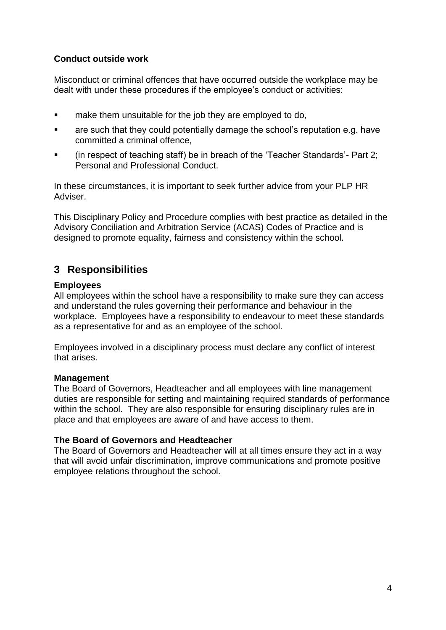# **Conduct outside work**

Misconduct or criminal offences that have occurred outside the workplace may be dealt with under these procedures if the employee's conduct or activities:

- **EXECT** make them unsuitable for the job they are employed to do,
- are such that they could potentially damage the school's reputation e.g. have committed a criminal offence,
- (in respect of teaching staff) be in breach of the 'Teacher Standards'- Part 2; Personal and Professional Conduct.

In these circumstances, it is important to seek further advice from your PLP HR Adviser.

This Disciplinary Policy and Procedure complies with best practice as detailed in the Advisory Conciliation and Arbitration Service (ACAS) Codes of Practice and is designed to promote equality, fairness and consistency within the school.

# **3 Responsibilities**

### **Employees**

All employees within the school have a responsibility to make sure they can access and understand the rules governing their performance and behaviour in the workplace. Employees have a responsibility to endeavour to meet these standards as a representative for and as an employee of the school.

Employees involved in a disciplinary process must declare any conflict of interest that arises.

# **Management**

The Board of Governors, Headteacher and all employees with line management duties are responsible for setting and maintaining required standards of performance within the school. They are also responsible for ensuring disciplinary rules are in place and that employees are aware of and have access to them.

#### **The Board of Governors and Headteacher**

The Board of Governors and Headteacher will at all times ensure they act in a way that will avoid unfair discrimination, improve communications and promote positive employee relations throughout the school.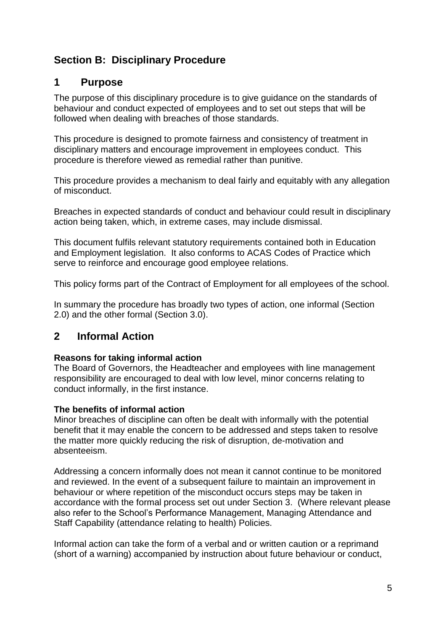# **Section B: Disciplinary Procedure**

# **1 Purpose**

The purpose of this disciplinary procedure is to give guidance on the standards of behaviour and conduct expected of employees and to set out steps that will be followed when dealing with breaches of those standards.

This procedure is designed to promote fairness and consistency of treatment in disciplinary matters and encourage improvement in employees conduct. This procedure is therefore viewed as remedial rather than punitive.

This procedure provides a mechanism to deal fairly and equitably with any allegation of misconduct.

Breaches in expected standards of conduct and behaviour could result in disciplinary action being taken, which, in extreme cases, may include dismissal.

This document fulfils relevant statutory requirements contained both in Education and Employment legislation. It also conforms to ACAS Codes of Practice which serve to reinforce and encourage good employee relations.

This policy forms part of the Contract of Employment for all employees of the school.

In summary the procedure has broadly two types of action, one informal (Section 2.0) and the other formal (Section 3.0).

# **2 Informal Action**

# **Reasons for taking informal action**

The Board of Governors, the Headteacher and employees with line management responsibility are encouraged to deal with low level, minor concerns relating to conduct informally, in the first instance.

# **The benefits of informal action**

Minor breaches of discipline can often be dealt with informally with the potential benefit that it may enable the concern to be addressed and steps taken to resolve the matter more quickly reducing the risk of disruption, de-motivation and absenteeism.

Addressing a concern informally does not mean it cannot continue to be monitored and reviewed. In the event of a subsequent failure to maintain an improvement in behaviour or where repetition of the misconduct occurs steps may be taken in accordance with the formal process set out under Section 3. (Where relevant please also refer to the School's Performance Management, Managing Attendance and Staff Capability (attendance relating to health) Policies.

Informal action can take the form of a verbal and or written caution or a reprimand (short of a warning) accompanied by instruction about future behaviour or conduct,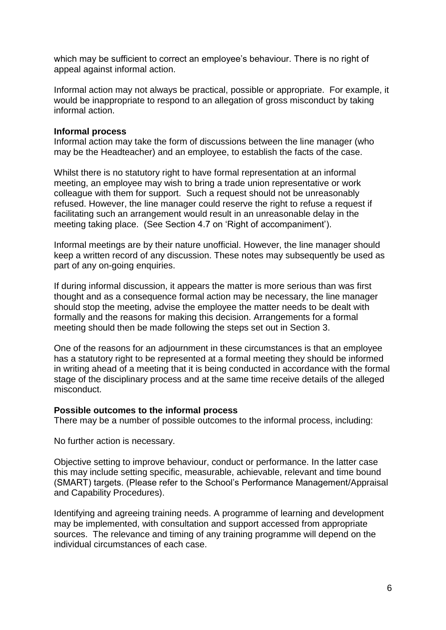which may be sufficient to correct an employee's behaviour. There is no right of appeal against informal action.

Informal action may not always be practical, possible or appropriate. For example, it would be inappropriate to respond to an allegation of gross misconduct by taking informal action.

#### **Informal process**

Informal action may take the form of discussions between the line manager (who may be the Headteacher) and an employee, to establish the facts of the case.

Whilst there is no statutory right to have formal representation at an informal meeting, an employee may wish to bring a trade union representative or work colleague with them for support. Such a request should not be unreasonably refused. However, the line manager could reserve the right to refuse a request if facilitating such an arrangement would result in an unreasonable delay in the meeting taking place. (See Section 4.7 on 'Right of accompaniment').

Informal meetings are by their nature unofficial. However, the line manager should keep a written record of any discussion. These notes may subsequently be used as part of any on-going enquiries.

If during informal discussion, it appears the matter is more serious than was first thought and as a consequence formal action may be necessary, the line manager should stop the meeting, advise the employee the matter needs to be dealt with formally and the reasons for making this decision. Arrangements for a formal meeting should then be made following the steps set out in Section 3.

One of the reasons for an adjournment in these circumstances is that an employee has a statutory right to be represented at a formal meeting they should be informed in writing ahead of a meeting that it is being conducted in accordance with the formal stage of the disciplinary process and at the same time receive details of the alleged misconduct.

#### **Possible outcomes to the informal process**

There may be a number of possible outcomes to the informal process, including:

No further action is necessary.

Objective setting to improve behaviour, conduct or performance. In the latter case this may include setting specific, measurable, achievable, relevant and time bound (SMART) targets. (Please refer to the School's Performance Management/Appraisal and Capability Procedures).

Identifying and agreeing training needs. A programme of learning and development may be implemented, with consultation and support accessed from appropriate sources. The relevance and timing of any training programme will depend on the individual circumstances of each case.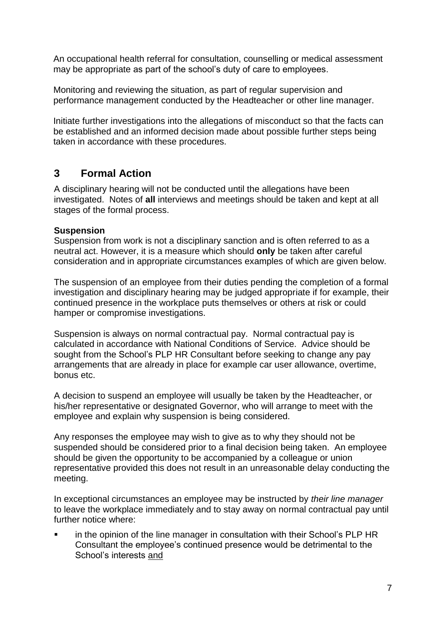An occupational health referral for consultation, counselling or medical assessment may be appropriate as part of the school's duty of care to employees.

Monitoring and reviewing the situation, as part of regular supervision and performance management conducted by the Headteacher or other line manager.

Initiate further investigations into the allegations of misconduct so that the facts can be established and an informed decision made about possible further steps being taken in accordance with these procedures.

# **3 Formal Action**

A disciplinary hearing will not be conducted until the allegations have been investigated. Notes of **all** interviews and meetings should be taken and kept at all stages of the formal process.

# **Suspension**

Suspension from work is not a disciplinary sanction and is often referred to as a neutral act. However, it is a measure which should **only** be taken after careful consideration and in appropriate circumstances examples of which are given below.

The suspension of an employee from their duties pending the completion of a formal investigation and disciplinary hearing may be judged appropriate if for example, their continued presence in the workplace puts themselves or others at risk or could hamper or compromise investigations.

Suspension is always on normal contractual pay. Normal contractual pay is calculated in accordance with National Conditions of Service. Advice should be sought from the School's PLP HR Consultant before seeking to change any pay arrangements that are already in place for example car user allowance, overtime, bonus etc.

A decision to suspend an employee will usually be taken by the Headteacher, or his/her representative or designated Governor, who will arrange to meet with the employee and explain why suspension is being considered.

Any responses the employee may wish to give as to why they should not be suspended should be considered prior to a final decision being taken. An employee should be given the opportunity to be accompanied by a colleague or union representative provided this does not result in an unreasonable delay conducting the meeting.

In exceptional circumstances an employee may be instructed by *their line manager* to leave the workplace immediately and to stay away on normal contractual pay until further notice where:

 in the opinion of the line manager in consultation with their School's PLP HR Consultant the employee's continued presence would be detrimental to the School's interests and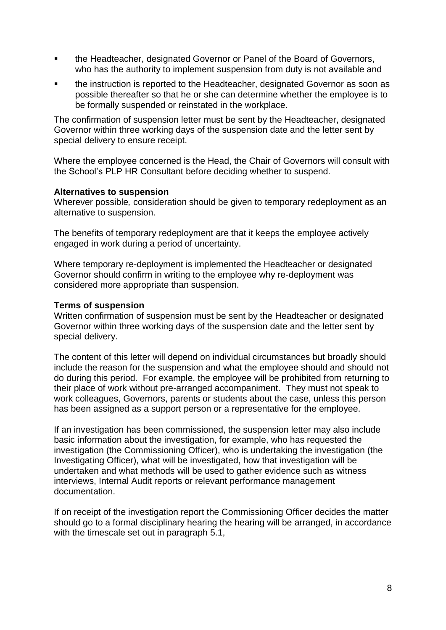- **the Headteacher, designated Governor or Panel of the Board of Governors,** who has the authority to implement suspension from duty is not available and
- the instruction is reported to the Headteacher, designated Governor as soon as possible thereafter so that he or she can determine whether the employee is to be formally suspended or reinstated in the workplace.

The confirmation of suspension letter must be sent by the Headteacher, designated Governor within three working days of the suspension date and the letter sent by special delivery to ensure receipt.

Where the employee concerned is the Head, the Chair of Governors will consult with the School's PLP HR Consultant before deciding whether to suspend.

#### **Alternatives to suspension**

Wherever possible*,* consideration should be given to temporary redeployment as an alternative to suspension.

The benefits of temporary redeployment are that it keeps the employee actively engaged in work during a period of uncertainty.

Where temporary re-deployment is implemented the Headteacher or designated Governor should confirm in writing to the employee why re-deployment was considered more appropriate than suspension.

#### **Terms of suspension**

Written confirmation of suspension must be sent by the Headteacher or designated Governor within three working days of the suspension date and the letter sent by special delivery.

The content of this letter will depend on individual circumstances but broadly should include the reason for the suspension and what the employee should and should not do during this period. For example, the employee will be prohibited from returning to their place of work without pre-arranged accompaniment. They must not speak to work colleagues, Governors, parents or students about the case, unless this person has been assigned as a support person or a representative for the employee.

If an investigation has been commissioned, the suspension letter may also include basic information about the investigation, for example, who has requested the investigation (the Commissioning Officer), who is undertaking the investigation (the Investigating Officer), what will be investigated, how that investigation will be undertaken and what methods will be used to gather evidence such as witness interviews, Internal Audit reports or relevant performance management documentation.

If on receipt of the investigation report the Commissioning Officer decides the matter should go to a formal disciplinary hearing the hearing will be arranged, in accordance with the timescale set out in paragraph 5.1,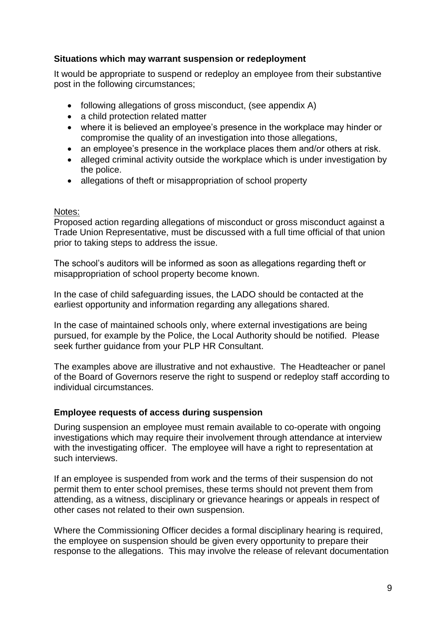## **Situations which may warrant suspension or redeployment**

It would be appropriate to suspend or redeploy an employee from their substantive post in the following circumstances;

- following allegations of gross misconduct, (see appendix A)
- a child protection related matter
- where it is believed an employee's presence in the workplace may hinder or compromise the quality of an investigation into those allegations,
- an employee's presence in the workplace places them and/or others at risk.
- alleged criminal activity outside the workplace which is under investigation by the police.
- allegations of theft or misappropriation of school property

#### Notes:

Proposed action regarding allegations of misconduct or gross misconduct against a Trade Union Representative, must be discussed with a full time official of that union prior to taking steps to address the issue.

The school's auditors will be informed as soon as allegations regarding theft or misappropriation of school property become known.

In the case of child safeguarding issues, the LADO should be contacted at the earliest opportunity and information regarding any allegations shared.

In the case of maintained schools only, where external investigations are being pursued, for example by the Police, the Local Authority should be notified. Please seek further guidance from your PLP HR Consultant.

The examples above are illustrative and not exhaustive. The Headteacher or panel of the Board of Governors reserve the right to suspend or redeploy staff according to individual circumstances.

#### **Employee requests of access during suspension**

During suspension an employee must remain available to co-operate with ongoing investigations which may require their involvement through attendance at interview with the investigating officer. The employee will have a right to representation at such interviews.

If an employee is suspended from work and the terms of their suspension do not permit them to enter school premises, these terms should not prevent them from attending, as a witness, disciplinary or grievance hearings or appeals in respect of other cases not related to their own suspension.

Where the Commissioning Officer decides a formal disciplinary hearing is required, the employee on suspension should be given every opportunity to prepare their response to the allegations. This may involve the release of relevant documentation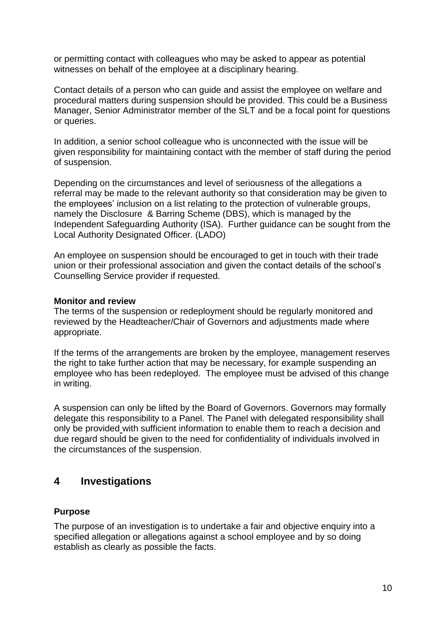or permitting contact with colleagues who may be asked to appear as potential witnesses on behalf of the employee at a disciplinary hearing.

Contact details of a person who can guide and assist the employee on welfare and procedural matters during suspension should be provided. This could be a Business Manager, Senior Administrator member of the SLT and be a focal point for questions or queries.

In addition, a senior school colleague who is unconnected with the issue will be given responsibility for maintaining contact with the member of staff during the period of suspension.

Depending on the circumstances and level of seriousness of the allegations a referral may be made to the relevant authority so that consideration may be given to the employees' inclusion on a list relating to the protection of vulnerable groups, namely the Disclosure & Barring Scheme (DBS), which is managed by the Independent Safeguarding Authority (ISA). Further guidance can be sought from the Local Authority Designated Officer. (LADO)

An employee on suspension should be encouraged to get in touch with their trade union or their professional association and given the contact details of the school's Counselling Service provider if requested.

#### **Monitor and review**

The terms of the suspension or redeployment should be regularly monitored and reviewed by the Headteacher/Chair of Governors and adjustments made where appropriate.

If the terms of the arrangements are broken by the employee, management reserves the right to take further action that may be necessary, for example suspending an employee who has been redeployed. The employee must be advised of this change in writing.

A suspension can only be lifted by the Board of Governors. Governors may formally delegate this responsibility to a Panel. The Panel with delegated responsibility shall only be provided with sufficient information to enable them to reach a decision and due regard should be given to the need for confidentiality of individuals involved in the circumstances of the suspension.

# **4 Investigations**

#### **Purpose**

The purpose of an investigation is to undertake a fair and objective enquiry into a specified allegation or allegations against a school employee and by so doing establish as clearly as possible the facts.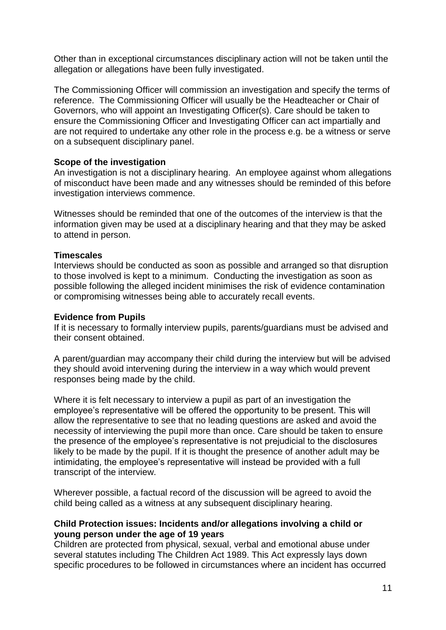Other than in exceptional circumstances disciplinary action will not be taken until the allegation or allegations have been fully investigated.

The Commissioning Officer will commission an investigation and specify the terms of reference. The Commissioning Officer will usually be the Headteacher or Chair of Governors, who will appoint an Investigating Officer(s). Care should be taken to ensure the Commissioning Officer and Investigating Officer can act impartially and are not required to undertake any other role in the process e.g. be a witness or serve on a subsequent disciplinary panel.

#### **Scope of the investigation**

An investigation is not a disciplinary hearing. An employee against whom allegations of misconduct have been made and any witnesses should be reminded of this before investigation interviews commence.

Witnesses should be reminded that one of the outcomes of the interview is that the information given may be used at a disciplinary hearing and that they may be asked to attend in person.

#### **Timescales**

Interviews should be conducted as soon as possible and arranged so that disruption to those involved is kept to a minimum. Conducting the investigation as soon as possible following the alleged incident minimises the risk of evidence contamination or compromising witnesses being able to accurately recall events.

#### **Evidence from Pupils**

If it is necessary to formally interview pupils, parents/guardians must be advised and their consent obtained.

A parent/guardian may accompany their child during the interview but will be advised they should avoid intervening during the interview in a way which would prevent responses being made by the child.

Where it is felt necessary to interview a pupil as part of an investigation the employee's representative will be offered the opportunity to be present. This will allow the representative to see that no leading questions are asked and avoid the necessity of interviewing the pupil more than once. Care should be taken to ensure the presence of the employee's representative is not prejudicial to the disclosures likely to be made by the pupil. If it is thought the presence of another adult may be intimidating, the employee's representative will instead be provided with a full transcript of the interview.

Wherever possible, a factual record of the discussion will be agreed to avoid the child being called as a witness at any subsequent disciplinary hearing.

#### **Child Protection issues: Incidents and/or allegations involving a child or young person under the age of 19 years**

Children are protected from physical, sexual, verbal and emotional abuse under several statutes including The Children Act 1989. This Act expressly lays down specific procedures to be followed in circumstances where an incident has occurred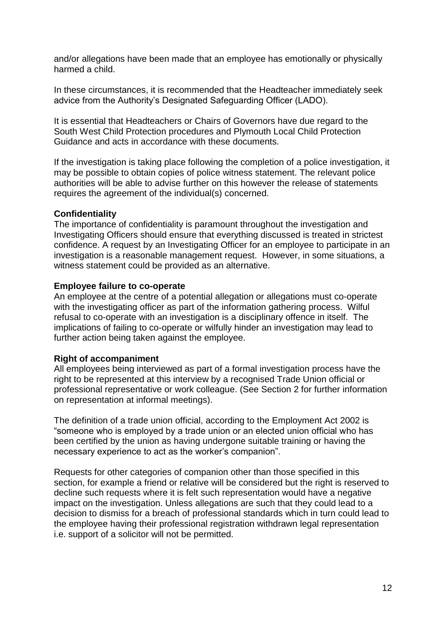and/or allegations have been made that an employee has emotionally or physically harmed a child.

In these circumstances, it is recommended that the Headteacher immediately seek advice from the Authority's Designated Safeguarding Officer (LADO).

It is essential that Headteachers or Chairs of Governors have due regard to the South West Child Protection procedures and Plymouth Local Child Protection Guidance and acts in accordance with these documents.

If the investigation is taking place following the completion of a police investigation, it may be possible to obtain copies of police witness statement. The relevant police authorities will be able to advise further on this however the release of statements requires the agreement of the individual(s) concerned.

#### **Confidentiality**

The importance of confidentiality is paramount throughout the investigation and Investigating Officers should ensure that everything discussed is treated in strictest confidence. A request by an Investigating Officer for an employee to participate in an investigation is a reasonable management request. However, in some situations, a witness statement could be provided as an alternative.

#### **Employee failure to co-operate**

An employee at the centre of a potential allegation or allegations must co-operate with the investigating officer as part of the information gathering process. Wilful refusal to co-operate with an investigation is a disciplinary offence in itself. The implications of failing to co-operate or wilfully hinder an investigation may lead to further action being taken against the employee.

#### **Right of accompaniment**

All employees being interviewed as part of a formal investigation process have the right to be represented at this interview by a recognised Trade Union official or professional representative or work colleague. (See Section 2 for further information on representation at informal meetings).

The definition of a trade union official, according to the Employment Act 2002 is "someone who is employed by a trade union or an elected union official who has been certified by the union as having undergone suitable training or having the necessary experience to act as the worker's companion".

Requests for other categories of companion other than those specified in this section, for example a friend or relative will be considered but the right is reserved to decline such requests where it is felt such representation would have a negative impact on the investigation. Unless allegations are such that they could lead to a decision to dismiss for a breach of professional standards which in turn could lead to the employee having their professional registration withdrawn legal representation i.e. support of a solicitor will not be permitted.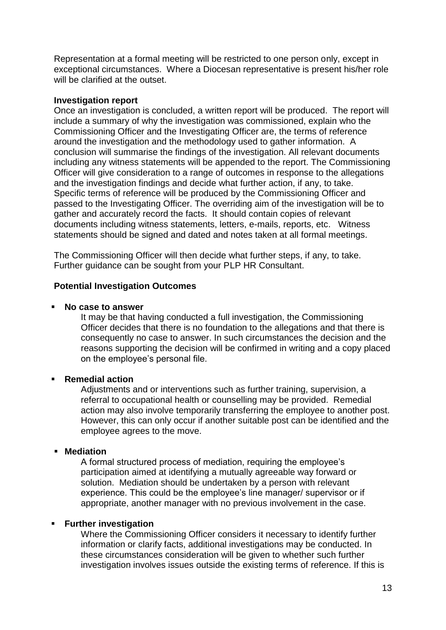Representation at a formal meeting will be restricted to one person only, except in exceptional circumstances. Where a Diocesan representative is present his/her role will be clarified at the outset.

#### **Investigation report**

Once an investigation is concluded, a written report will be produced. The report will include a summary of why the investigation was commissioned, explain who the Commissioning Officer and the Investigating Officer are, the terms of reference around the investigation and the methodology used to gather information. A conclusion will summarise the findings of the investigation. All relevant documents including any witness statements will be appended to the report. The Commissioning Officer will give consideration to a range of outcomes in response to the allegations and the investigation findings and decide what further action, if any, to take. Specific terms of reference will be produced by the Commissioning Officer and passed to the Investigating Officer. The overriding aim of the investigation will be to gather and accurately record the facts. It should contain copies of relevant documents including witness statements, letters, e-mails, reports, etc. Witness statements should be signed and dated and notes taken at all formal meetings.

The Commissioning Officer will then decide what further steps, if any, to take. Further guidance can be sought from your PLP HR Consultant.

#### **Potential Investigation Outcomes**

#### **No case to answer**

It may be that having conducted a full investigation, the Commissioning Officer decides that there is no foundation to the allegations and that there is consequently no case to answer. In such circumstances the decision and the reasons supporting the decision will be confirmed in writing and a copy placed on the employee's personal file.

#### **Remedial action**

Adjustments and or interventions such as further training, supervision, a referral to occupational health or counselling may be provided. Remedial action may also involve temporarily transferring the employee to another post. However, this can only occur if another suitable post can be identified and the employee agrees to the move.

#### **Mediation**

A formal structured process of mediation, requiring the employee's participation aimed at identifying a mutually agreeable way forward or solution. Mediation should be undertaken by a person with relevant experience. This could be the employee's line manager/ supervisor or if appropriate, another manager with no previous involvement in the case.

#### **Further investigation**

Where the Commissioning Officer considers it necessary to identify further information or clarify facts, additional investigations may be conducted. In these circumstances consideration will be given to whether such further investigation involves issues outside the existing terms of reference. If this is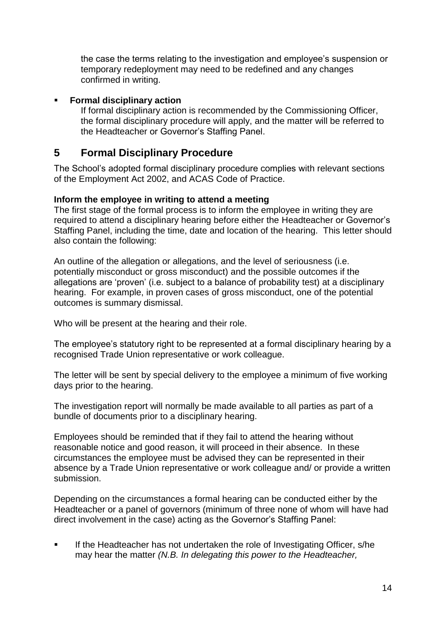the case the terms relating to the investigation and employee's suspension or temporary redeployment may need to be redefined and any changes confirmed in writing.

## **Formal disciplinary action**

If formal disciplinary action is recommended by the Commissioning Officer, the formal disciplinary procedure will apply, and the matter will be referred to the Headteacher or Governor's Staffing Panel.

# **5 Formal Disciplinary Procedure**

The School's adopted formal disciplinary procedure complies with relevant sections of the Employment Act 2002, and ACAS Code of Practice.

### **Inform the employee in writing to attend a meeting**

The first stage of the formal process is to inform the employee in writing they are required to attend a disciplinary hearing before either the Headteacher or Governor's Staffing Panel, including the time, date and location of the hearing. This letter should also contain the following:

An outline of the allegation or allegations, and the level of seriousness (i.e. potentially misconduct or gross misconduct) and the possible outcomes if the allegations are 'proven' (i.e. subject to a balance of probability test) at a disciplinary hearing. For example, in proven cases of gross misconduct, one of the potential outcomes is summary dismissal.

Who will be present at the hearing and their role.

The employee's statutory right to be represented at a formal disciplinary hearing by a recognised Trade Union representative or work colleague.

The letter will be sent by special delivery to the employee a minimum of five working days prior to the hearing.

The investigation report will normally be made available to all parties as part of a bundle of documents prior to a disciplinary hearing.

Employees should be reminded that if they fail to attend the hearing without reasonable notice and good reason, it will proceed in their absence. In these circumstances the employee must be advised they can be represented in their absence by a Trade Union representative or work colleague and/ or provide a written submission.

Depending on the circumstances a formal hearing can be conducted either by the Headteacher or a panel of governors (minimum of three none of whom will have had direct involvement in the case) acting as the Governor's Staffing Panel:

 If the Headteacher has not undertaken the role of Investigating Officer, s/he may hear the matter *(N.B. In delegating this power to the Headteacher,*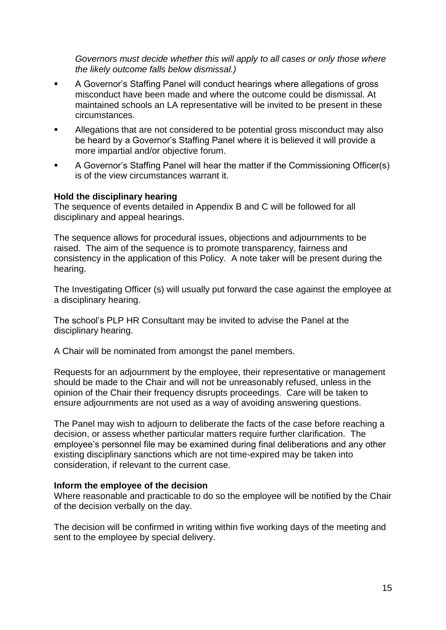*Governors must decide whether this will apply to all cases or only those where the likely outcome falls below dismissal.)*

- A Governor's Staffing Panel will conduct hearings where allegations of gross misconduct have been made and where the outcome could be dismissal. At maintained schools an LA representative will be invited to be present in these circumstances.
- Allegations that are not considered to be potential gross misconduct may also be heard by a Governor's Staffing Panel where it is believed it will provide a more impartial and/or objective forum.
- A Governor's Staffing Panel will hear the matter if the Commissioning Officer(s) is of the view circumstances warrant it.

#### **Hold the disciplinary hearing**

The sequence of events detailed in Appendix B and C will be followed for all disciplinary and appeal hearings.

The sequence allows for procedural issues, objections and adjournments to be raised. The aim of the sequence is to promote transparency, fairness and consistency in the application of this Policy. A note taker will be present during the hearing.

The Investigating Officer (s) will usually put forward the case against the employee at a disciplinary hearing.

The school's PLP HR Consultant may be invited to advise the Panel at the disciplinary hearing.

A Chair will be nominated from amongst the panel members.

Requests for an adjournment by the employee, their representative or management should be made to the Chair and will not be unreasonably refused, unless in the opinion of the Chair their frequency disrupts proceedings. Care will be taken to ensure adjournments are not used as a way of avoiding answering questions.

The Panel may wish to adjourn to deliberate the facts of the case before reaching a decision, or assess whether particular matters require further clarification. The employee's personnel file may be examined during final deliberations and any other existing disciplinary sanctions which are not time-expired may be taken into consideration, if relevant to the current case.

#### **Inform the employee of the decision**

Where reasonable and practicable to do so the employee will be notified by the Chair of the decision verbally on the day.

The decision will be confirmed in writing within five working days of the meeting and sent to the employee by special delivery.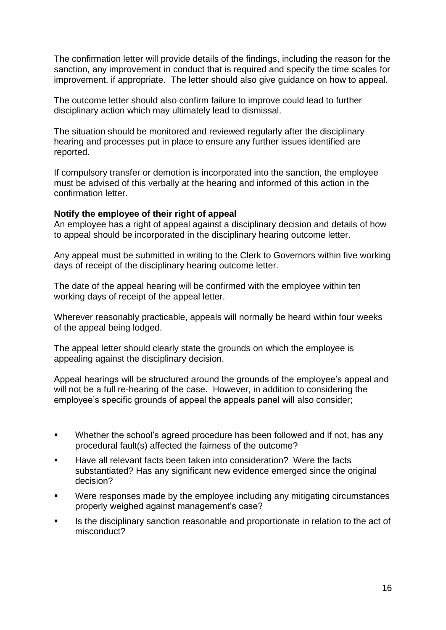The confirmation letter will provide details of the findings, including the reason for the sanction, any improvement in conduct that is required and specify the time scales for improvement, if appropriate. The letter should also give guidance on how to appeal.

The outcome letter should also confirm failure to improve could lead to further disciplinary action which may ultimately lead to dismissal.

The situation should be monitored and reviewed regularly after the disciplinary hearing and processes put in place to ensure any further issues identified are reported.

If compulsory transfer or demotion is incorporated into the sanction, the employee must be advised of this verbally at the hearing and informed of this action in the confirmation letter.

#### **Notify the employee of their right of appeal**

An employee has a right of appeal against a disciplinary decision and details of how to appeal should be incorporated in the disciplinary hearing outcome letter.

Any appeal must be submitted in writing to the Clerk to Governors within five working days of receipt of the disciplinary hearing outcome letter.

The date of the appeal hearing will be confirmed with the employee within ten working days of receipt of the appeal letter.

Wherever reasonably practicable, appeals will normally be heard within four weeks of the appeal being lodged.

The appeal letter should clearly state the grounds on which the employee is appealing against the disciplinary decision.

Appeal hearings will be structured around the grounds of the employee's appeal and will not be a full re-hearing of the case. However, in addition to considering the employee's specific grounds of appeal the appeals panel will also consider;

- **Whether the school's agreed procedure has been followed and if not, has any** procedural fault(s) affected the fairness of the outcome?
- Have all relevant facts been taken into consideration? Were the facts substantiated? Has any significant new evidence emerged since the original decision?
- Were responses made by the employee including any mitigating circumstances properly weighed against management's case?
- Is the disciplinary sanction reasonable and proportionate in relation to the act of misconduct?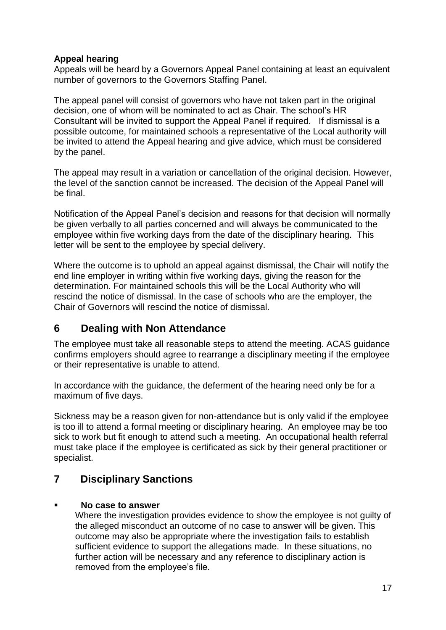# **Appeal hearing**

Appeals will be heard by a Governors Appeal Panel containing at least an equivalent number of governors to the Governors Staffing Panel.

The appeal panel will consist of governors who have not taken part in the original decision, one of whom will be nominated to act as Chair. The school's HR Consultant will be invited to support the Appeal Panel if required. If dismissal is a possible outcome, for maintained schools a representative of the Local authority will be invited to attend the Appeal hearing and give advice, which must be considered by the panel.

The appeal may result in a variation or cancellation of the original decision. However, the level of the sanction cannot be increased. The decision of the Appeal Panel will be final.

Notification of the Appeal Panel's decision and reasons for that decision will normally be given verbally to all parties concerned and will always be communicated to the employee within five working days from the date of the disciplinary hearing. This letter will be sent to the employee by special delivery.

Where the outcome is to uphold an appeal against dismissal, the Chair will notify the end line employer in writing within five working days, giving the reason for the determination. For maintained schools this will be the Local Authority who will rescind the notice of dismissal. In the case of schools who are the employer, the Chair of Governors will rescind the notice of dismissal.

# **6 Dealing with Non Attendance**

The employee must take all reasonable steps to attend the meeting. ACAS guidance confirms employers should agree to rearrange a disciplinary meeting if the employee or their representative is unable to attend.

In accordance with the guidance, the deferment of the hearing need only be for a maximum of five days.

Sickness may be a reason given for non-attendance but is only valid if the employee is too ill to attend a formal meeting or disciplinary hearing. An employee may be too sick to work but fit enough to attend such a meeting. An occupational health referral must take place if the employee is certificated as sick by their general practitioner or specialist.

# **7 Disciplinary Sanctions**

# **No case to answer**

Where the investigation provides evidence to show the employee is not guilty of the alleged misconduct an outcome of no case to answer will be given. This outcome may also be appropriate where the investigation fails to establish sufficient evidence to support the allegations made. In these situations, no further action will be necessary and any reference to disciplinary action is removed from the employee's file.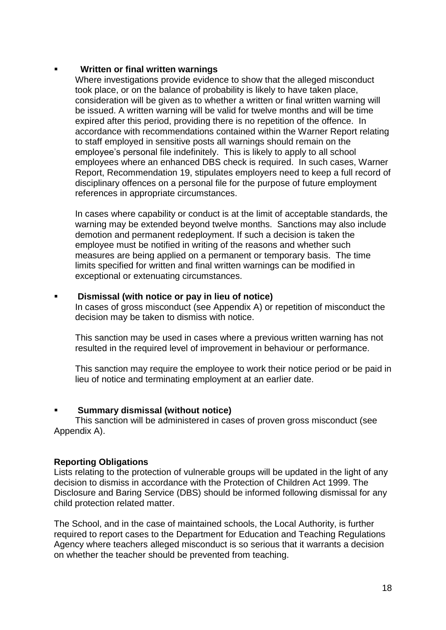#### **Written or final written warnings**

Where investigations provide evidence to show that the alleged misconduct took place, or on the balance of probability is likely to have taken place, consideration will be given as to whether a written or final written warning will be issued. A written warning will be valid for twelve months and will be time expired after this period, providing there is no repetition of the offence. In accordance with recommendations contained within the Warner Report relating to staff employed in sensitive posts all warnings should remain on the employee's personal file indefinitely. This is likely to apply to all school employees where an enhanced DBS check is required. In such cases, Warner Report, Recommendation 19, stipulates employers need to keep a full record of disciplinary offences on a personal file for the purpose of future employment references in appropriate circumstances.

In cases where capability or conduct is at the limit of acceptable standards, the warning may be extended beyond twelve months. Sanctions may also include demotion and permanent redeployment. If such a decision is taken the employee must be notified in writing of the reasons and whether such measures are being applied on a permanent or temporary basis. The time limits specified for written and final written warnings can be modified in exceptional or extenuating circumstances.

#### **Dismissal (with notice or pay in lieu of notice)**

In cases of gross misconduct (see Appendix A) or repetition of misconduct the decision may be taken to dismiss with notice.

This sanction may be used in cases where a previous written warning has not resulted in the required level of improvement in behaviour or performance.

This sanction may require the employee to work their notice period or be paid in lieu of notice and terminating employment at an earlier date.

#### **Summary dismissal (without notice)**

This sanction will be administered in cases of proven gross misconduct (see Appendix A).

#### **Reporting Obligations**

Lists relating to the protection of vulnerable groups will be updated in the light of any decision to dismiss in accordance with the Protection of Children Act 1999. The Disclosure and Baring Service (DBS) should be informed following dismissal for any child protection related matter.

The School, and in the case of maintained schools, the Local Authority, is further required to report cases to the Department for Education and Teaching Regulations Agency where teachers alleged misconduct is so serious that it warrants a decision on whether the teacher should be prevented from teaching.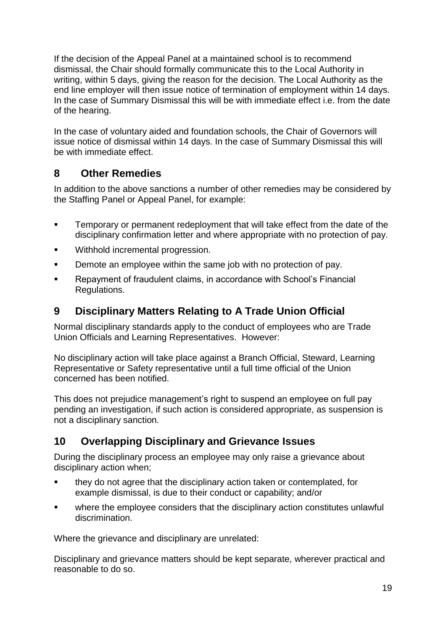If the decision of the Appeal Panel at a maintained school is to recommend dismissal, the Chair should formally communicate this to the Local Authority in writing, within 5 days, giving the reason for the decision. The Local Authority as the end line employer will then issue notice of termination of employment within 14 days. In the case of Summary Dismissal this will be with immediate effect i.e. from the date of the hearing.

In the case of voluntary aided and foundation schools, the Chair of Governors will issue notice of dismissal within 14 days. In the case of Summary Dismissal this will be with immediate effect.

# **8 Other Remedies**

In addition to the above sanctions a number of other remedies may be considered by the Staffing Panel or Appeal Panel, for example:

- **Temporary or permanent redeployment that will take effect from the date of the** disciplinary confirmation letter and where appropriate with no protection of pay.
- **Withhold incremental progression.**
- **Demote an employee within the same job with no protection of pay.**
- Repayment of fraudulent claims, in accordance with School's Financial Regulations.

# **9 Disciplinary Matters Relating to A Trade Union Official**

Normal disciplinary standards apply to the conduct of employees who are Trade Union Officials and Learning Representatives. However:

No disciplinary action will take place against a Branch Official, Steward, Learning Representative or Safety representative until a full time official of the Union concerned has been notified.

This does not prejudice management's right to suspend an employee on full pay pending an investigation, if such action is considered appropriate, as suspension is not a disciplinary sanction.

# **10 Overlapping Disciplinary and Grievance Issues**

During the disciplinary process an employee may only raise a grievance about disciplinary action when;

- they do not agree that the disciplinary action taken or contemplated, for example dismissal, is due to their conduct or capability; and/or
- where the employee considers that the disciplinary action constitutes unlawful discrimination.

Where the grievance and disciplinary are unrelated:

Disciplinary and grievance matters should be kept separate, wherever practical and reasonable to do so.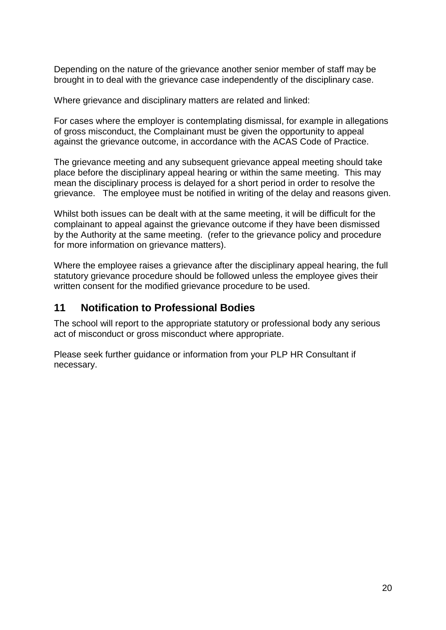Depending on the nature of the grievance another senior member of staff may be brought in to deal with the grievance case independently of the disciplinary case.

Where grievance and disciplinary matters are related and linked:

For cases where the employer is contemplating dismissal, for example in allegations of gross misconduct, the Complainant must be given the opportunity to appeal against the grievance outcome, in accordance with the ACAS Code of Practice.

The grievance meeting and any subsequent grievance appeal meeting should take place before the disciplinary appeal hearing or within the same meeting. This may mean the disciplinary process is delayed for a short period in order to resolve the grievance. The employee must be notified in writing of the delay and reasons given.

Whilst both issues can be dealt with at the same meeting, it will be difficult for the complainant to appeal against the grievance outcome if they have been dismissed by the Authority at the same meeting. (refer to the grievance policy and procedure for more information on grievance matters).

Where the employee raises a grievance after the disciplinary appeal hearing, the full statutory grievance procedure should be followed unless the employee gives their written consent for the modified grievance procedure to be used.

# **11 Notification to Professional Bodies**

The school will report to the appropriate statutory or professional body any serious act of misconduct or gross misconduct where appropriate.

Please seek further guidance or information from your PLP HR Consultant if necessary.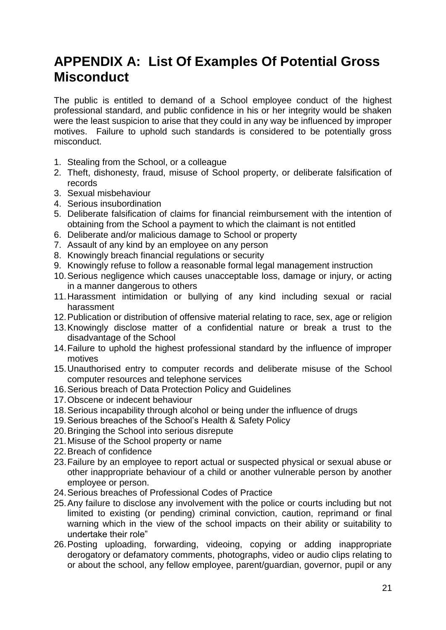# **APPENDIX A: List Of Examples Of Potential Gross Misconduct**

The public is entitled to demand of a School employee conduct of the highest professional standard, and public confidence in his or her integrity would be shaken were the least suspicion to arise that they could in any way be influenced by improper motives. Failure to uphold such standards is considered to be potentially gross misconduct.

- 1. Stealing from the School, or a colleague
- 2. Theft, dishonesty, fraud, misuse of School property, or deliberate falsification of records
- 3. Sexual misbehaviour
- 4. Serious insubordination
- 5. Deliberate falsification of claims for financial reimbursement with the intention of obtaining from the School a payment to which the claimant is not entitled
- 6. Deliberate and/or malicious damage to School or property
- 7. Assault of any kind by an employee on any person
- 8. Knowingly breach financial regulations or security
- 9. Knowingly refuse to follow a reasonable formal legal management instruction
- 10.Serious negligence which causes unacceptable loss, damage or injury, or acting in a manner dangerous to others
- 11.Harassment intimidation or bullying of any kind including sexual or racial harassment
- 12.Publication or distribution of offensive material relating to race, sex, age or religion
- 13.Knowingly disclose matter of a confidential nature or break a trust to the disadvantage of the School
- 14.Failure to uphold the highest professional standard by the influence of improper motives
- 15.Unauthorised entry to computer records and deliberate misuse of the School computer resources and telephone services
- 16.Serious breach of Data Protection Policy and Guidelines
- 17.Obscene or indecent behaviour
- 18.Serious incapability through alcohol or being under the influence of drugs
- 19.Serious breaches of the School's Health & Safety Policy
- 20.Bringing the School into serious disrepute
- 21.Misuse of the School property or name
- 22.Breach of confidence
- 23.Failure by an employee to report actual or suspected physical or sexual abuse or other inappropriate behaviour of a child or another vulnerable person by another employee or person.
- 24.Serious breaches of Professional Codes of Practice
- 25.Any failure to disclose any involvement with the police or courts including but not limited to existing (or pending) criminal conviction, caution, reprimand or final warning which in the view of the school impacts on their ability or suitability to undertake their role"
- 26.Posting uploading, forwarding, videoing, copying or adding inappropriate derogatory or defamatory comments, photographs, video or audio clips relating to or about the school, any fellow employee, parent/guardian, governor, pupil or any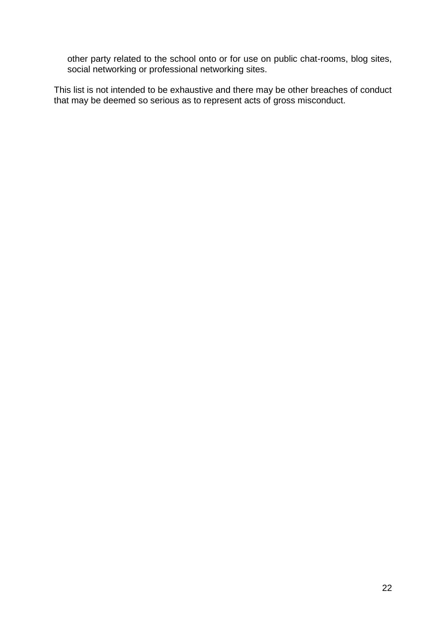other party related to the school onto or for use on public chat-rooms, blog sites, social networking or professional networking sites.

This list is not intended to be exhaustive and there may be other breaches of conduct that may be deemed so serious as to represent acts of gross misconduct.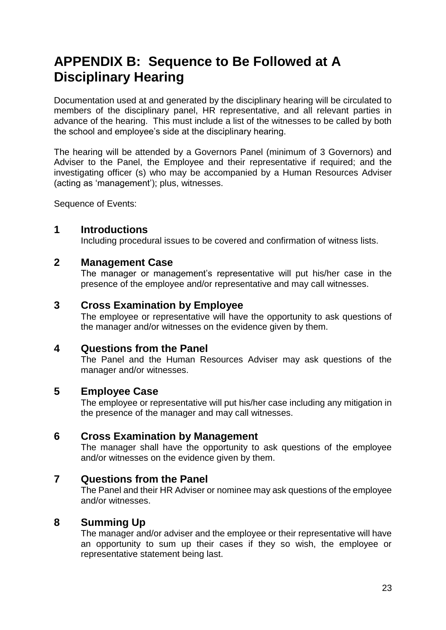# **APPENDIX B: Sequence to Be Followed at A Disciplinary Hearing**

Documentation used at and generated by the disciplinary hearing will be circulated to members of the disciplinary panel, HR representative, and all relevant parties in advance of the hearing. This must include a list of the witnesses to be called by both the school and employee's side at the disciplinary hearing.

The hearing will be attended by a Governors Panel (minimum of 3 Governors) and Adviser to the Panel, the Employee and their representative if required; and the investigating officer (s) who may be accompanied by a Human Resources Adviser (acting as 'management'); plus, witnesses.

Sequence of Events:

# **1 Introductions**

Including procedural issues to be covered and confirmation of witness lists.

# **2 Management Case**

The manager or management's representative will put his/her case in the presence of the employee and/or representative and may call witnesses.

# **3 Cross Examination by Employee**

The employee or representative will have the opportunity to ask questions of the manager and/or witnesses on the evidence given by them.

# **4 Questions from the Panel**

The Panel and the Human Resources Adviser may ask questions of the manager and/or witnesses.

# **5 Employee Case**

The employee or representative will put his/her case including any mitigation in the presence of the manager and may call witnesses.

# **6 Cross Examination by Management**

The manager shall have the opportunity to ask questions of the employee and/or witnesses on the evidence given by them.

# **7 Questions from the Panel**

The Panel and their HR Adviser or nominee may ask questions of the employee and/or witnesses.

# **8 Summing Up**

The manager and/or adviser and the employee or their representative will have an opportunity to sum up their cases if they so wish, the employee or representative statement being last.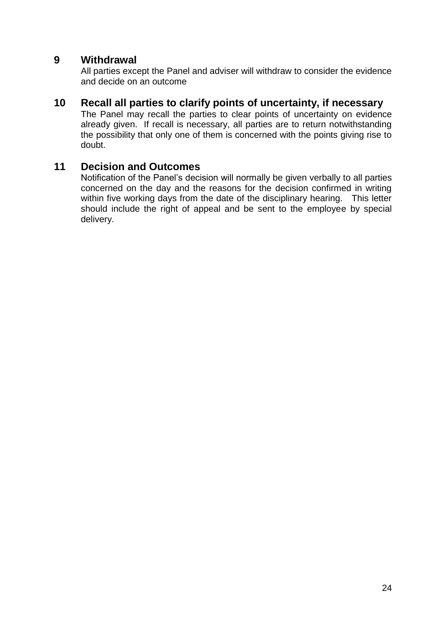# **9 Withdrawal**

All parties except the Panel and adviser will withdraw to consider the evidence and decide on an outcome

## **10 Recall all parties to clarify points of uncertainty, if necessary**

The Panel may recall the parties to clear points of uncertainty on evidence already given. If recall is necessary, all parties are to return notwithstanding the possibility that only one of them is concerned with the points giving rise to doubt.

# **11 Decision and Outcomes**

Notification of the Panel's decision will normally be given verbally to all parties concerned on the day and the reasons for the decision confirmed in writing within five working days from the date of the disciplinary hearing. This letter should include the right of appeal and be sent to the employee by special delivery.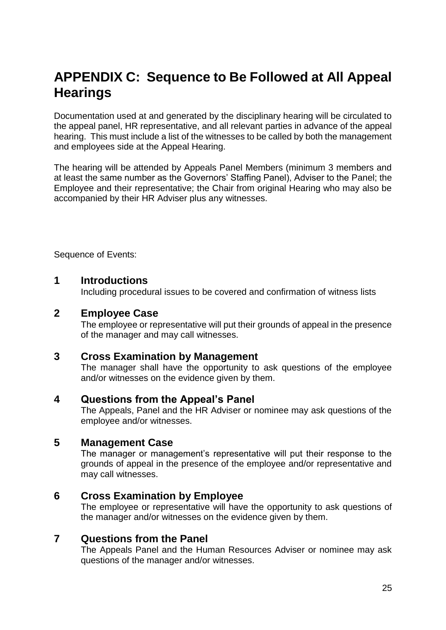# **APPENDIX C: Sequence to Be Followed at All Appeal Hearings**

Documentation used at and generated by the disciplinary hearing will be circulated to the appeal panel, HR representative, and all relevant parties in advance of the appeal hearing. This must include a list of the witnesses to be called by both the management and employees side at the Appeal Hearing.

The hearing will be attended by Appeals Panel Members (minimum 3 members and at least the same number as the Governors' Staffing Panel), Adviser to the Panel; the Employee and their representative; the Chair from original Hearing who may also be accompanied by their HR Adviser plus any witnesses.

Sequence of Events:

# **1 Introductions**

Including procedural issues to be covered and confirmation of witness lists

# **2 Employee Case**

The employee or representative will put their grounds of appeal in the presence of the manager and may call witnesses.

# **3 Cross Examination by Management**

The manager shall have the opportunity to ask questions of the employee and/or witnesses on the evidence given by them.

# **4 Questions from the Appeal's Panel**

The Appeals, Panel and the HR Adviser or nominee may ask questions of the employee and/or witnesses.

# **5 Management Case**

The manager or management's representative will put their response to the grounds of appeal in the presence of the employee and/or representative and may call witnesses.

# **6 Cross Examination by Employee**

The employee or representative will have the opportunity to ask questions of the manager and/or witnesses on the evidence given by them.

# **7 Questions from the Panel**

The Appeals Panel and the Human Resources Adviser or nominee may ask questions of the manager and/or witnesses.